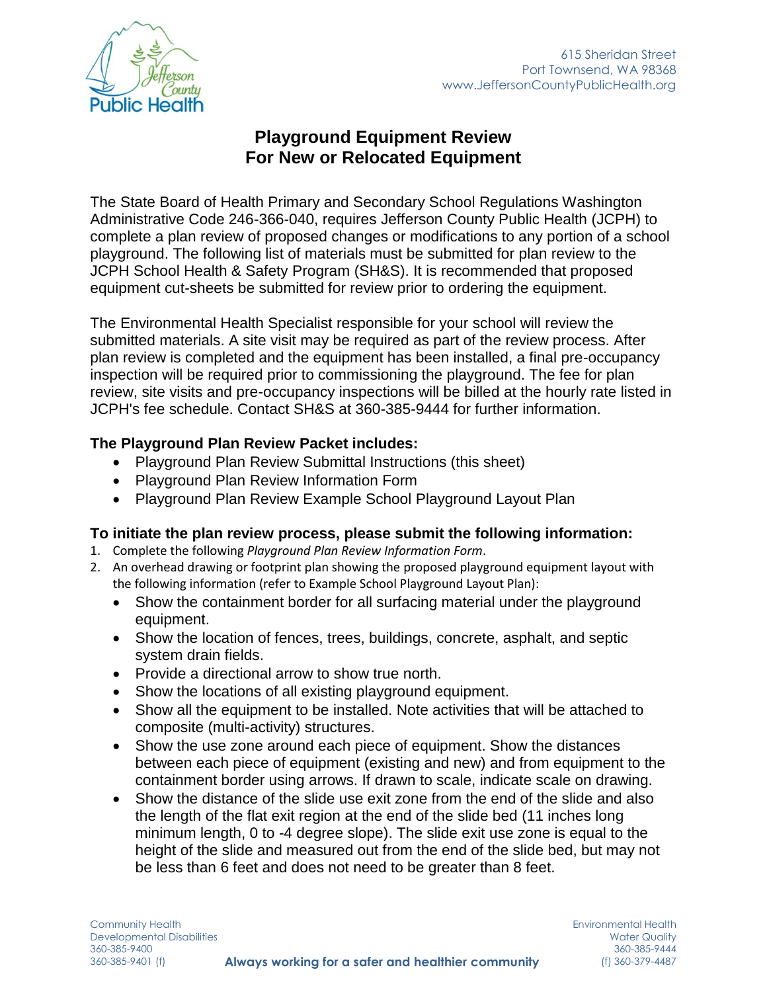

# **Playground Equipment Review For New or Relocated Equipment**

The State Board of Health Primary and Secondary School Regulations Washington Administrative Code 246-366-040, requires Jefferson County Public Health (JCPH) to complete a plan review of proposed changes or modifications to any portion of a school playground. The following list of materials must be submitted for plan review to the JCPH School Health & Safety Program (SH&S). It is recommended that proposed equipment cut-sheets be submitted for review prior to ordering the equipment.

The Environmental Health Specialist responsible for your school will review the submitted materials. A site visit may be required as part of the review process. After plan review is completed and the equipment has been installed, a final pre-occupancy inspection will be required prior to commissioning the playground. The fee for plan review, site visits and pre-occupancy inspections will be billed at the hourly rate listed in JCPH's fee schedule. Contact SH&S at 360-385-9444 for further information.

## **The Playground Plan Review Packet includes:**

- Playground Plan Review Submittal Instructions (this sheet)
- Playground Plan Review Information Form
- Playground Plan Review Example School Playground Layout Plan

## **To initiate the plan review process, please submit the following information:**

- 1. Complete the following *Playground Plan Review Information Form*.
- 2. An overhead drawing or footprint plan showing the proposed playground equipment layout with the following information (refer to Example School Playground Layout Plan):
	- Show the containment border for all surfacing material under the playground equipment.
	- Show the location of fences, trees, buildings, concrete, asphalt, and septic system drain fields.
	- Provide a directional arrow to show true north.
	- Show the locations of all existing playground equipment.
	- Show all the equipment to be installed. Note activities that will be attached to composite (multi-activity) structures.
	- Show the use zone around each piece of equipment. Show the distances between each piece of equipment (existing and new) and from equipment to the containment border using arrows. If drawn to scale, indicate scale on drawing.
	- Show the distance of the slide use exit zone from the end of the slide and also the length of the flat exit region at the end of the slide bed (11 inches long minimum length, 0 to -4 degree slope). The slide exit use zone is equal to the height of the slide and measured out from the end of the slide bed, but may not be less than 6 feet and does not need to be greater than 8 feet.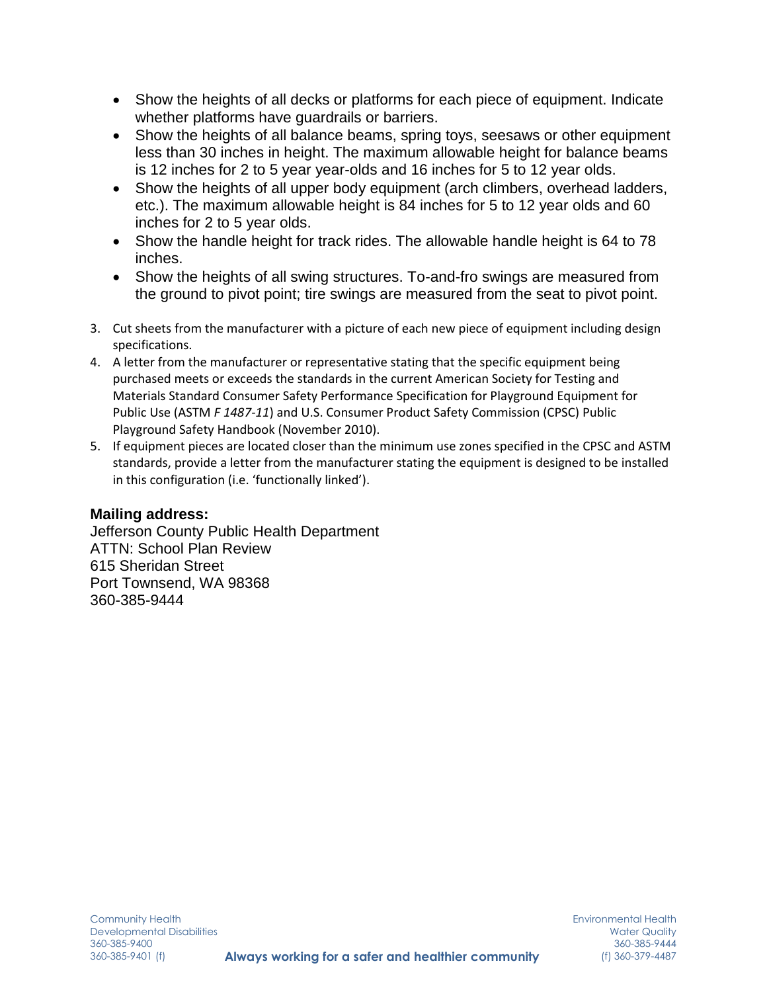- Show the heights of all decks or platforms for each piece of equipment. Indicate whether platforms have guardrails or barriers.
- Show the heights of all balance beams, spring toys, seesaws or other equipment less than 30 inches in height. The maximum allowable height for balance beams is 12 inches for 2 to 5 year year-olds and 16 inches for 5 to 12 year olds.
- Show the heights of all upper body equipment (arch climbers, overhead ladders, etc.). The maximum allowable height is 84 inches for 5 to 12 year olds and 60 inches for 2 to 5 year olds.
- Show the handle height for track rides. The allowable handle height is 64 to 78 inches.
- Show the heights of all swing structures. To-and-fro swings are measured from the ground to pivot point; tire swings are measured from the seat to pivot point.
- 3. Cut sheets from the manufacturer with a picture of each new piece of equipment including design specifications.
- 4. A letter from the manufacturer or representative stating that the specific equipment being purchased meets or exceeds the standards in the current American Society for Testing and Materials Standard Consumer Safety Performance Specification for Playground Equipment for Public Use (ASTM *F 1487-11*) and U.S. Consumer Product Safety Commission (CPSC) Public Playground Safety Handbook (November 2010).
- 5. If equipment pieces are located closer than the minimum use zones specified in the CPSC and ASTM standards, provide a letter from the manufacturer stating the equipment is designed to be installed in this configuration (i.e. 'functionally linked').

## **Mailing address:**

Jefferson County Public Health Department ATTN: School Plan Review 615 Sheridan Street Port Townsend, WA 98368 360-385-9444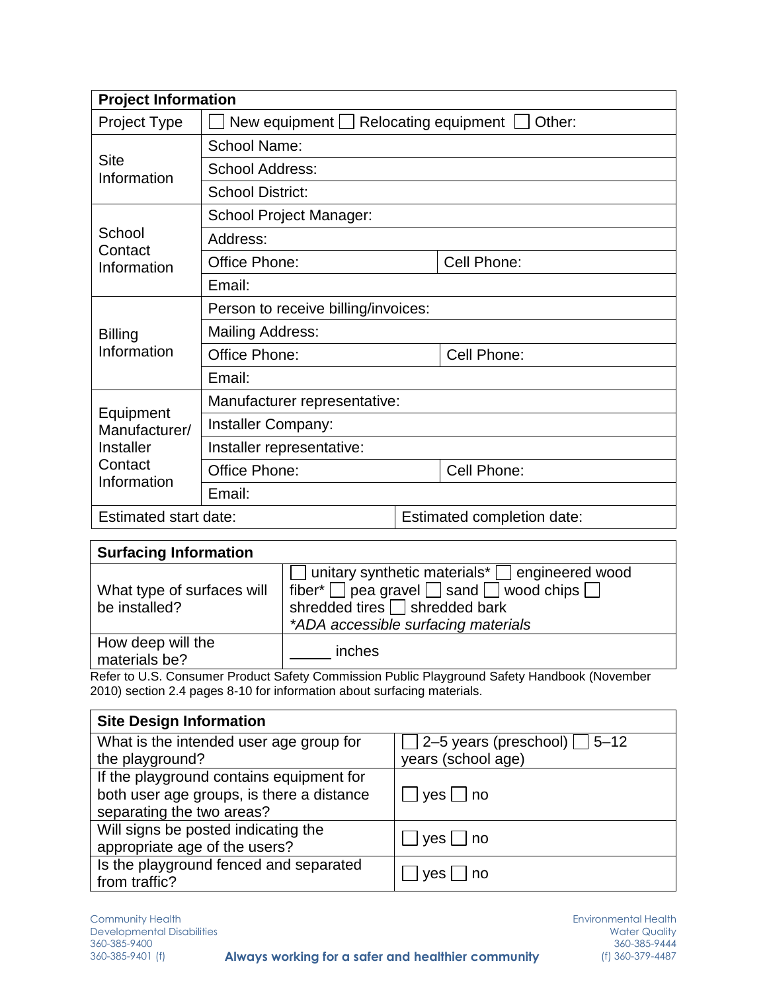| <b>Project Information</b>                                        |                                                            |                            |             |
|-------------------------------------------------------------------|------------------------------------------------------------|----------------------------|-------------|
| <b>Project Type</b>                                               | New equipment $\Box$ Relocating equipment $\Box$<br>Other: |                            |             |
| <b>Site</b><br>Information                                        | <b>School Name:</b>                                        |                            |             |
|                                                                   | <b>School Address:</b>                                     |                            |             |
|                                                                   | <b>School District:</b>                                    |                            |             |
| School<br>Contact<br>Information                                  | <b>School Project Manager:</b>                             |                            |             |
|                                                                   | Address:                                                   |                            |             |
|                                                                   | Office Phone:                                              |                            | Cell Phone: |
|                                                                   | Email:                                                     |                            |             |
|                                                                   | Person to receive billing/invoices:                        |                            |             |
| <b>Billing</b>                                                    | <b>Mailing Address:</b>                                    |                            |             |
| Information                                                       | Office Phone:                                              |                            | Cell Phone: |
|                                                                   | Email:                                                     |                            |             |
| Equipment<br>Manufacturer/<br>Installer<br>Contact<br>Information | Manufacturer representative:                               |                            |             |
|                                                                   | Installer Company:                                         |                            |             |
|                                                                   | Installer representative:                                  |                            |             |
|                                                                   | Office Phone:                                              |                            | Cell Phone: |
|                                                                   | Email:                                                     |                            |             |
| Estimated start date:                                             |                                                            | Estimated completion date: |             |

| <b>Surfacing Information</b>                |                                                                                                                                                                                               |
|---------------------------------------------|-----------------------------------------------------------------------------------------------------------------------------------------------------------------------------------------------|
| What type of surfaces will<br>be installed? | unitary synthetic materials* □ engineered wood<br>fiber* $\Box$ pea gravel $\Box$ sand $\Box$ wood chips $\Box$<br>shredded tires $\Box$ shredded bark<br>*ADA accessible surfacing materials |
| How deep will the<br>materials be?          | inches<br>Defecte U.C. Concument Deaduat Cofety Commission Dublic Downey and Cofety Handbook (November                                                                                        |

Refer to U.S. Consumer Product Safety Commission Public Playground Safety Handbook (November 2010) section 2.4 pages 8-10 for information about surfacing materials.

| <b>Site Design Information</b>                                         |                                   |  |
|------------------------------------------------------------------------|-----------------------------------|--|
| What is the intended user age group for                                | 2–5 years (preschool) $\Box$ 5–12 |  |
| the playground?                                                        | years (school age)                |  |
| If the playground contains equipment for                               |                                   |  |
| both user age groups, is there a distance<br>separating the two areas? | yes  <br>no                       |  |
| Will signs be posted indicating the<br>appropriate age of the users?   | $\vert$ yes $\vert$ no            |  |
| Is the playground fenced and separated<br>from traffic?                | no<br><b>ves</b>                  |  |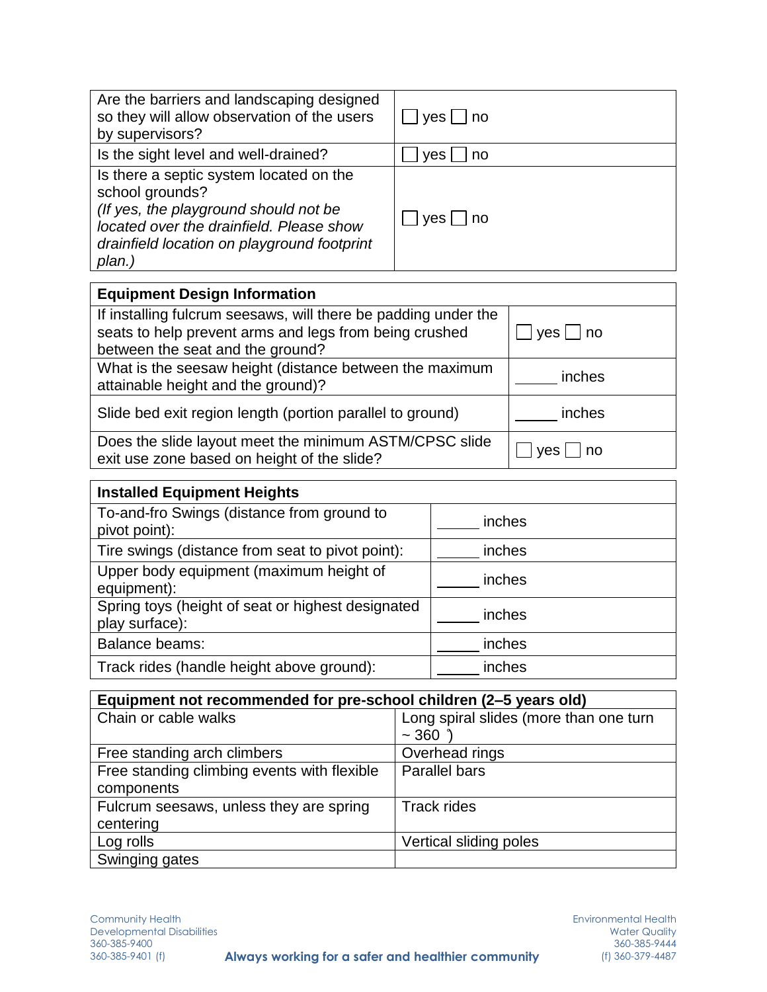| Are the barriers and landscaping designed<br>so they will allow observation of the users<br>by supervisors?                                                                                              | $yes \Box$ no |
|----------------------------------------------------------------------------------------------------------------------------------------------------------------------------------------------------------|---------------|
| Is the sight level and well-drained?                                                                                                                                                                     | yes<br>no     |
| Is there a septic system located on the<br>school grounds?<br>(If yes, the playground should not be<br>located over the drainfield. Please show<br>drainfield location on playground footprint<br>plan.) | yes     no    |

| <b>Equipment Design Information</b>                                                                                                                          |              |
|--------------------------------------------------------------------------------------------------------------------------------------------------------------|--------------|
| If installing fulcrum seesaws, will there be padding under the<br>seats to help prevent arms and legs from being crushed<br>between the seat and the ground? | $ yes $   no |
| What is the seesaw height (distance between the maximum<br>attainable height and the ground)?                                                                | inches       |
| Slide bed exit region length (portion parallel to ground)                                                                                                    | inches       |
| Does the slide layout meet the minimum ASTM/CPSC slide<br>exit use zone based on height of the slide?                                                        | l no<br>ves  |

| <b>Installed Equipment Heights</b>                                  |        |
|---------------------------------------------------------------------|--------|
| To-and-fro Swings (distance from ground to<br>pivot point):         | inches |
| Tire swings (distance from seat to pivot point):                    | inches |
| Upper body equipment (maximum height of<br>equipment):              | inches |
| Spring toys (height of seat or highest designated<br>play surface): | inches |
| <b>Balance beams:</b>                                               | inches |
| Track rides (handle height above ground):                           | inches |

| Equipment not recommended for pre-school children (2-5 years old) |                                        |  |
|-------------------------------------------------------------------|----------------------------------------|--|
| Chain or cable walks                                              | Long spiral slides (more than one turn |  |
|                                                                   | ~1.360                                 |  |
| Free standing arch climbers                                       | Overhead rings                         |  |
| Free standing climbing events with flexible                       | <b>Parallel bars</b>                   |  |
| components                                                        |                                        |  |
| Fulcrum seesaws, unless they are spring                           | <b>Track rides</b>                     |  |
| centering                                                         |                                        |  |
| Log rolls                                                         | Vertical sliding poles                 |  |
| Swinging gates                                                    |                                        |  |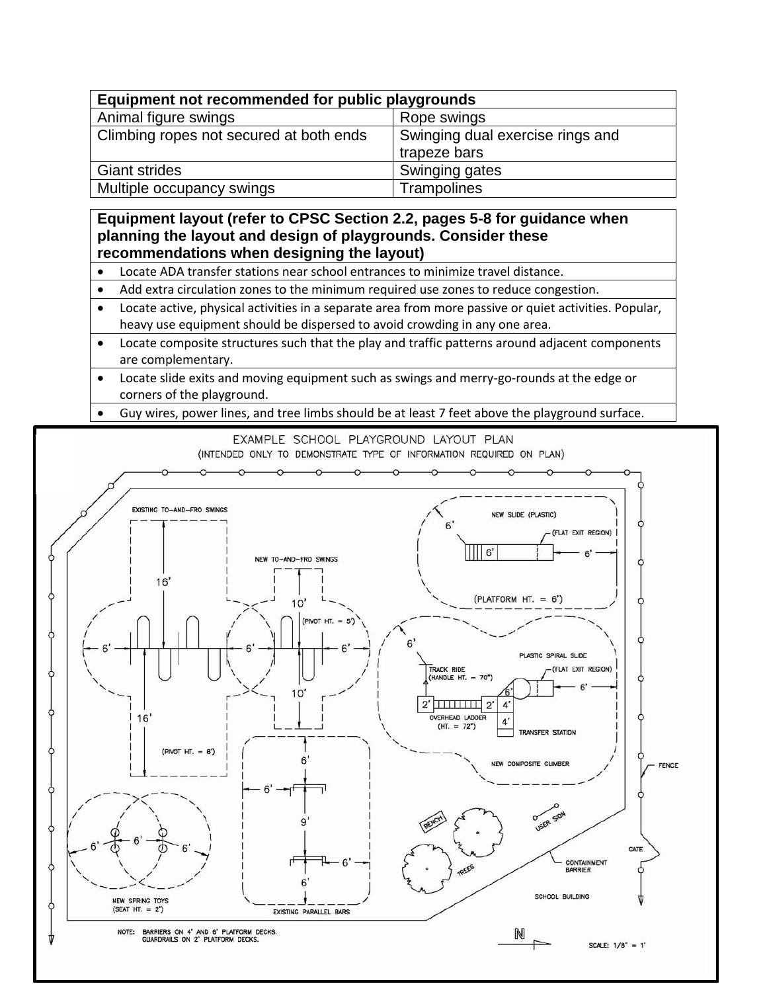| Equipment not recommended for public playgrounds |                                                  |  |
|--------------------------------------------------|--------------------------------------------------|--|
| Animal figure swings                             | Rope swings                                      |  |
| Climbing ropes not secured at both ends          | Swinging dual exercise rings and<br>trapeze bars |  |
| <b>Giant strides</b>                             | Swinging gates                                   |  |
| Multiple occupancy swings                        | Trampolines                                      |  |

#### **Equipment layout (refer to CPSC Section 2.2, pages 5-8 for guidance when planning the layout and design of playgrounds. Consider these recommendations when designing the layout)**

- Locate ADA transfer stations near school entrances to minimize travel distance.
- Add extra circulation zones to the minimum required use zones to reduce congestion.
- Locate active, physical activities in a separate area from more passive or quiet activities. Popular, heavy use equipment should be dispersed to avoid crowding in any one area.
- Locate composite structures such that the play and traffic patterns around adjacent components are complementary.
- Locate slide exits and moving equipment such as swings and merry-go-rounds at the edge or corners of the playground.
- Guy wires, power lines, and tree limbs should be at least 7 feet above the playground surface.